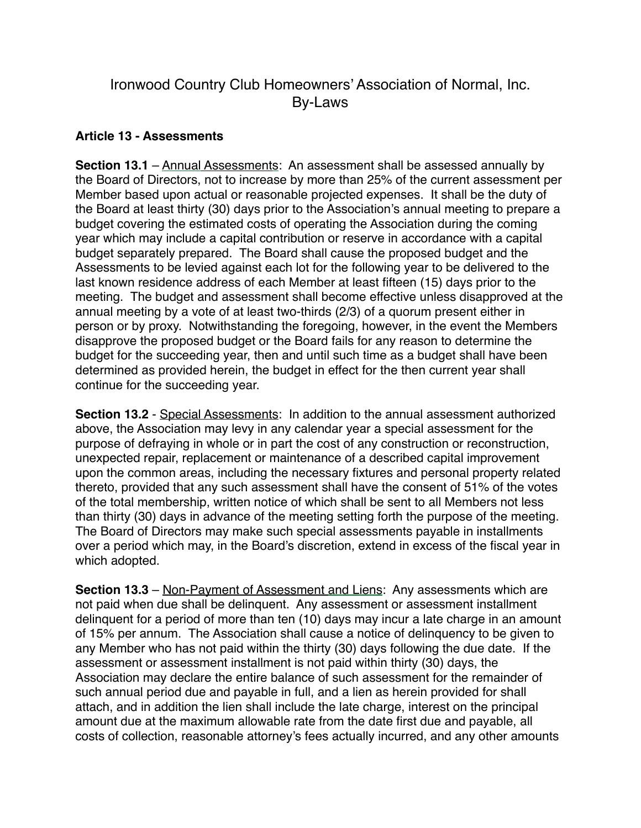## Ironwood Country Club Homeowners' Association of Normal, Inc. By-Laws

## **Article 13 - Assessments**

**Section 13.1** – Annual Assessments: An assessment shall be assessed annually by the Board of Directors, not to increase by more than 25% of the current assessment per Member based upon actual or reasonable projected expenses. It shall be the duty of the Board at least thirty (30) days prior to the Association's annual meeting to prepare a budget covering the estimated costs of operating the Association during the coming year which may include a capital contribution or reserve in accordance with a capital budget separately prepared. The Board shall cause the proposed budget and the Assessments to be levied against each lot for the following year to be delivered to the last known residence address of each Member at least fifteen (15) days prior to the meeting. The budget and assessment shall become effective unless disapproved at the annual meeting by a vote of at least two-thirds (2/3) of a quorum present either in person or by proxy. Notwithstanding the foregoing, however, in the event the Members disapprove the proposed budget or the Board fails for any reason to determine the budget for the succeeding year, then and until such time as a budget shall have been determined as provided herein, the budget in effect for the then current year shall continue for the succeeding year.

**Section 13.2** - Special Assessments: In addition to the annual assessment authorized above, the Association may levy in any calendar year a special assessment for the purpose of defraying in whole or in part the cost of any construction or reconstruction, unexpected repair, replacement or maintenance of a described capital improvement upon the common areas, including the necessary fixtures and personal property related thereto, provided that any such assessment shall have the consent of 51% of the votes of the total membership, written notice of which shall be sent to all Members not less than thirty (30) days in advance of the meeting setting forth the purpose of the meeting. The Board of Directors may make such special assessments payable in installments over a period which may, in the Board's discretion, extend in excess of the fiscal year in which adopted.

**Section 13.3** – Non-Payment of Assessment and Liens: Any assessments which are not paid when due shall be delinquent. Any assessment or assessment installment delinquent for a period of more than ten (10) days may incur a late charge in an amount of 15% per annum. The Association shall cause a notice of delinquency to be given to any Member who has not paid within the thirty (30) days following the due date. If the assessment or assessment installment is not paid within thirty (30) days, the Association may declare the entire balance of such assessment for the remainder of such annual period due and payable in full, and a lien as herein provided for shall attach, and in addition the lien shall include the late charge, interest on the principal amount due at the maximum allowable rate from the date first due and payable, all costs of collection, reasonable attorney's fees actually incurred, and any other amounts